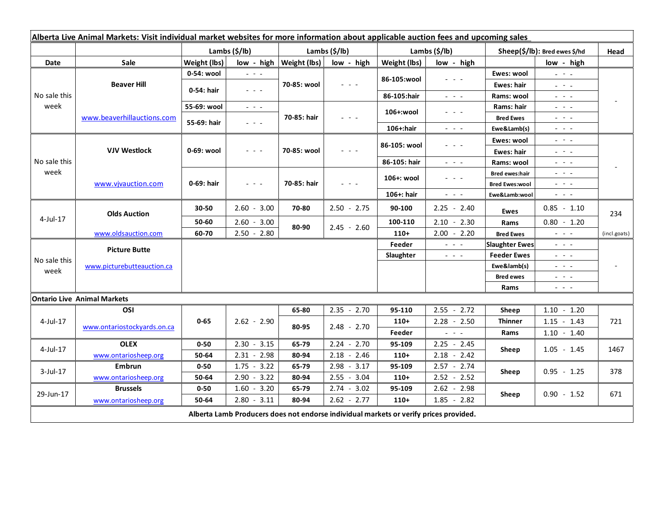| Alberta Live Animal Markets: Visit individual market websites for more information about applicable auction fees and upcoming sales |                                    |               |                                         |                |                                |                           |                                                                                                                           |                                          |                                                                                                                                                                                                                                                                                                                                                                                                                                                                                                                                     |              |
|-------------------------------------------------------------------------------------------------------------------------------------|------------------------------------|---------------|-----------------------------------------|----------------|--------------------------------|---------------------------|---------------------------------------------------------------------------------------------------------------------------|------------------------------------------|-------------------------------------------------------------------------------------------------------------------------------------------------------------------------------------------------------------------------------------------------------------------------------------------------------------------------------------------------------------------------------------------------------------------------------------------------------------------------------------------------------------------------------------|--------------|
|                                                                                                                                     |                                    | Lambs (\$/lb) |                                         | Lambs (\$/lb)  |                                | Lambs $(\frac{2}{3})$ lb) |                                                                                                                           | Sheep(\$/lb): Bred ewes \$/hd            |                                                                                                                                                                                                                                                                                                                                                                                                                                                                                                                                     | Head         |
| Date                                                                                                                                | Sale                               | Weight (lbs)  | low - high                              | Weight (lbs)   | low - high                     | Weight (lbs)              | low - high                                                                                                                |                                          | low - high                                                                                                                                                                                                                                                                                                                                                                                                                                                                                                                          |              |
| No sale this<br>week                                                                                                                | <b>Beaver Hill</b>                 | 0-54: wool    | $  -$                                   | 70-85: wool    | $  -$                          |                           | $  -$                                                                                                                     | Ewes: wool                               | $\omega_{\rm c}$ , $\omega_{\rm c}$ , $\omega_{\rm c}$                                                                                                                                                                                                                                                                                                                                                                                                                                                                              |              |
|                                                                                                                                     |                                    | 0-54: hair    | 20202                                   |                |                                | 86-105:wool               |                                                                                                                           | Ewes: hair                               | $\omega_{\rm{eff}}$ and $\omega_{\rm{eff}}$                                                                                                                                                                                                                                                                                                                                                                                                                                                                                         |              |
|                                                                                                                                     |                                    |               |                                         |                |                                | 86-105:hair               | $\frac{1}{2} \left( \frac{1}{2} \right) = \frac{1}{2} \left( \frac{1}{2} \right)$                                         | Rams: wool                               | $\frac{1}{2} \left( \frac{1}{2} \right) \left( \frac{1}{2} \right) \left( \frac{1}{2} \right) \left( \frac{1}{2} \right) \left( \frac{1}{2} \right)$                                                                                                                                                                                                                                                                                                                                                                                |              |
|                                                                                                                                     | www.beaverhillauctions.com         | 55-69: wool   | $\omega_{\rm{c}}$ and $\omega_{\rm{c}}$ | 70-85: hair    | $  -$                          | 106+:wool                 | $  -$                                                                                                                     | Rams: hair                               | $\frac{1}{2} \left( \frac{1}{2} \right) \left( \frac{1}{2} \right) \left( \frac{1}{2} \right) \left( \frac{1}{2} \right)$                                                                                                                                                                                                                                                                                                                                                                                                           |              |
|                                                                                                                                     |                                    | 55-69: hair   | $  -$                                   |                |                                |                           |                                                                                                                           | <b>Bred Ewes</b>                         | $\frac{1}{2} \left( \frac{1}{2} \right) \frac{1}{2} \left( \frac{1}{2} \right) \frac{1}{2} \left( \frac{1}{2} \right) \frac{1}{2} \left( \frac{1}{2} \right) \frac{1}{2} \left( \frac{1}{2} \right) \frac{1}{2} \left( \frac{1}{2} \right) \frac{1}{2} \left( \frac{1}{2} \right) \frac{1}{2} \left( \frac{1}{2} \right) \frac{1}{2} \left( \frac{1}{2} \right) \frac{1}{2} \left( \frac{1}{2} \right) \frac{1}{2} \left( \frac{1}{2} \right)$                                                                                      |              |
|                                                                                                                                     |                                    |               |                                         |                |                                | 106+:hair                 | $\frac{1}{2} \left( \frac{1}{2} \right) \left( \frac{1}{2} \right) \left( \frac{1}{2} \right) \left( \frac{1}{2} \right)$ | Ewe&Lamb(s)                              | $  -$                                                                                                                                                                                                                                                                                                                                                                                                                                                                                                                               |              |
| No sale this<br>week                                                                                                                | <b>VJV Westlock</b>                | 0-69: wool    | $  -$                                   | 70-85: wool    |                                | 86-105: wool              | .                                                                                                                         | Ewes: wool                               | $\frac{1}{2} \left( \frac{1}{2} \right) = \frac{1}{2} \left( \frac{1}{2} \right)$                                                                                                                                                                                                                                                                                                                                                                                                                                                   |              |
|                                                                                                                                     |                                    |               |                                         |                |                                |                           |                                                                                                                           | Ewes: hair                               | $\frac{1}{2} \left( \frac{1}{2} \right) = \frac{1}{2} \left( \frac{1}{2} \right)$                                                                                                                                                                                                                                                                                                                                                                                                                                                   |              |
|                                                                                                                                     |                                    |               |                                         |                |                                | 86-105: hair              | $\frac{1}{2} \left( \frac{1}{2} \right) = \frac{1}{2} \left( \frac{1}{2} \right)$                                         | Rams: wool                               | $\mathbf{L} = \mathbf{L} \cdot \mathbf{L}$                                                                                                                                                                                                                                                                                                                                                                                                                                                                                          |              |
|                                                                                                                                     | www.vjvauction.com                 | 0-69: hair    | $  -$                                   | 70-85: hair    | $  -$                          | 106+: wool                | - - -                                                                                                                     | <b>Bred ewes:hair</b>                    | $\frac{1}{2} \left( \frac{1}{2} \right) \frac{1}{2} \left( \frac{1}{2} \right) \frac{1}{2} \left( \frac{1}{2} \right) \frac{1}{2} \left( \frac{1}{2} \right) \frac{1}{2} \left( \frac{1}{2} \right) \frac{1}{2} \left( \frac{1}{2} \right) \frac{1}{2} \left( \frac{1}{2} \right) \frac{1}{2} \left( \frac{1}{2} \right) \frac{1}{2} \left( \frac{1}{2} \right) \frac{1}{2} \left( \frac{1}{2} \right) \frac{1}{2} \left( \frac{1}{2} \right)$<br>$\frac{1}{2} \left( \frac{1}{2} \right) = \frac{1}{2} \left( \frac{1}{2} \right)$ |              |
|                                                                                                                                     |                                    |               |                                         |                |                                | 106+: hair                | $\omega_{\rm{eff}}$ and $\omega_{\rm{eff}}$                                                                               | <b>Bred Ewes:wool</b><br>Ewe&Lamb:wool   | $\frac{1}{2} \left( \frac{1}{2} \right) \left( \frac{1}{2} \right) \left( \frac{1}{2} \right) \left( \frac{1}{2} \right)$                                                                                                                                                                                                                                                                                                                                                                                                           |              |
| $4$ -Jul-17                                                                                                                         | <b>Olds Auction</b>                |               |                                         |                |                                |                           |                                                                                                                           |                                          |                                                                                                                                                                                                                                                                                                                                                                                                                                                                                                                                     |              |
|                                                                                                                                     |                                    | 30-50         | $2.60 - 3.00$                           | 70-80          | $2.50 - 2.75$                  | 90-100                    | $2.25 - 2.40$                                                                                                             | Ewes                                     | $0.85 - 1.10$                                                                                                                                                                                                                                                                                                                                                                                                                                                                                                                       | 234          |
|                                                                                                                                     |                                    | 50-60         | $2.60 - 3.00$                           | 80-90          | $2.45 - 2.60$                  | 100-110                   | $2.10 - 2.30$                                                                                                             | Rams                                     | $0.80 - 1.20$                                                                                                                                                                                                                                                                                                                                                                                                                                                                                                                       |              |
|                                                                                                                                     | www.oldsauction.com                | 60-70         | $2.50 - 2.80$                           |                |                                | $110+$                    | $2.00 - 2.20$                                                                                                             | <b>Bred Ewes</b>                         | $\omega_{\rm{c}}$ and $\omega_{\rm{c}}$                                                                                                                                                                                                                                                                                                                                                                                                                                                                                             | (incl.goats) |
| No sale this<br>week                                                                                                                | <b>Picture Butte</b>               |               |                                         |                |                                | Feeder                    | $\sim$ $\sim$ $\sim$                                                                                                      | <b>Slaughter Ewes</b>                    | $\omega_{\rm{max}}$                                                                                                                                                                                                                                                                                                                                                                                                                                                                                                                 |              |
|                                                                                                                                     | www.picturebutteauction.ca         |               |                                         |                |                                | Slaughter                 | $\frac{1}{2} \left( \frac{1}{2} \right) \left( \frac{1}{2} \right) \left( \frac{1}{2} \right) \left( \frac{1}{2} \right)$ | <b>Feeder Ewes</b>                       | $\frac{1}{2} \left( \frac{1}{2} \right) \left( \frac{1}{2} \right) \left( \frac{1}{2} \right) \left( \frac{1}{2} \right)$                                                                                                                                                                                                                                                                                                                                                                                                           |              |
|                                                                                                                                     |                                    |               |                                         |                |                                |                           |                                                                                                                           | Ewe&lamb(s)                              | $\mathbf{L} = \mathbf{L} \cdot \mathbf{L}$                                                                                                                                                                                                                                                                                                                                                                                                                                                                                          |              |
|                                                                                                                                     |                                    |               |                                         |                |                                |                           |                                                                                                                           | <b>Bred ewes</b>                         | $\frac{1}{2} \left( \frac{1}{2} \right) \left( \frac{1}{2} \right) \left( \frac{1}{2} \right) \left( \frac{1}{2} \right)$                                                                                                                                                                                                                                                                                                                                                                                                           |              |
|                                                                                                                                     | <b>Ontario Live Animal Markets</b> |               |                                         |                |                                |                           |                                                                                                                           | Rams                                     | $\frac{1}{2} \left( \frac{1}{2} \right) = \frac{1}{2} \left( \frac{1}{2} \right)$                                                                                                                                                                                                                                                                                                                                                                                                                                                   |              |
| $4$ -Jul-17<br>4-Jul-17                                                                                                             | OSI                                |               |                                         | 65-80          | $2.35 - 2.70$                  | 95-110                    | $2.55 - 2.72$                                                                                                             |                                          | $1.10 - 1.20$                                                                                                                                                                                                                                                                                                                                                                                                                                                                                                                       |              |
|                                                                                                                                     |                                    | $0 - 65$      | $2.62 - 2.90$<br>$2.30 - 3.15$          | 80-95<br>65-79 | $2.48 - 2.70$<br>$2.24 - 2.70$ | $110+$                    |                                                                                                                           | Sheep<br><b>Thinner</b><br>Rams<br>Sheep | $1.15 - 1.43$                                                                                                                                                                                                                                                                                                                                                                                                                                                                                                                       | 721          |
|                                                                                                                                     | www.ontariostockyards.on.ca        |               |                                         |                |                                | Feeder                    | $2.28 - 2.50$<br>$\omega_{\rm{eff}}$ and $\omega_{\rm{eff}}$                                                              |                                          | $1.10 - 1.40$                                                                                                                                                                                                                                                                                                                                                                                                                                                                                                                       |              |
|                                                                                                                                     | <b>OLEX</b>                        | $0 - 50$      |                                         |                |                                | 95-109                    | $2.25 - 2.45$                                                                                                             |                                          |                                                                                                                                                                                                                                                                                                                                                                                                                                                                                                                                     |              |
|                                                                                                                                     | www.ontariosheep.org               | 50-64         | $2.31 - 2.98$                           | 80-94          | $2.18 - 2.46$                  | $110+$                    | $2.18 - 2.42$                                                                                                             |                                          | $1.05 - 1.45$                                                                                                                                                                                                                                                                                                                                                                                                                                                                                                                       | 1467         |
| $3$ -Jul-17                                                                                                                         | <b>Embrun</b>                      | $0 - 50$      | $1.75 - 3.22$                           | 65-79          | $2.98 - 3.17$                  | 95-109                    | $2.57 - 2.74$                                                                                                             | Sheep                                    | $0.95 - 1.25$                                                                                                                                                                                                                                                                                                                                                                                                                                                                                                                       | 378          |
|                                                                                                                                     | www.ontariosheep.org               | 50-64         | $-3.22$<br>2.90                         | 80-94          | $2.55 - 3.04$                  | $110+$                    | $2.52 - 2.52$                                                                                                             |                                          |                                                                                                                                                                                                                                                                                                                                                                                                                                                                                                                                     |              |
| 29-Jun-17                                                                                                                           | <b>Brussels</b>                    | $0 - 50$      | $1.60 - 3.20$                           | 65-79          | $2.74 - 3.02$                  | 95-109                    | $2.62 - 2.98$                                                                                                             | Sheep                                    | $0.90 - 1.52$                                                                                                                                                                                                                                                                                                                                                                                                                                                                                                                       | 671          |
|                                                                                                                                     | www.ontariosheep.org               | 50-64         | $2.80 - 3.11$                           | 80-94          | $2.62 - 2.77$                  | $110+$                    | $1.85 - 2.82$                                                                                                             |                                          |                                                                                                                                                                                                                                                                                                                                                                                                                                                                                                                                     |              |
|                                                                                                                                     |                                    |               |                                         |                |                                |                           |                                                                                                                           |                                          |                                                                                                                                                                                                                                                                                                                                                                                                                                                                                                                                     |              |
| Alberta Lamb Producers does not endorse individual markets or verify prices provided.                                               |                                    |               |                                         |                |                                |                           |                                                                                                                           |                                          |                                                                                                                                                                                                                                                                                                                                                                                                                                                                                                                                     |              |